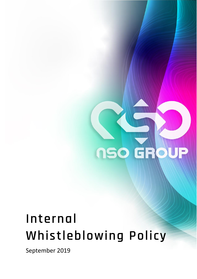

# **Internal Whistleblowing Policy**

September 2019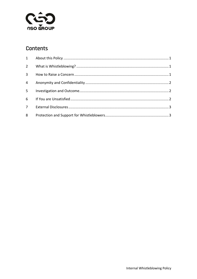

#### Contents

| $4 \quad$ |  |
|-----------|--|
|           |  |
|           |  |
|           |  |
| 8         |  |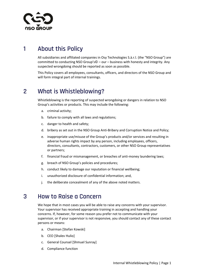

# **1 About this Policy**

All subsidiaries and affiliated companies in Osy Technologies S.à.r.l. (the "NSO Group") are committed to conducting NSO Group's© – our – business with honesty and integrity. Any suspected wrongdoing should be reported as soon as possible.

This Policy covers all employees, consultants, officers, and directors of the NSO Group and will form integral part of internal trainings.

#### **2 What is Whistleblowing?**

Whistleblowing is the reporting of suspected wrongdoing or dangers in relation to NSO Group's activities or products. This may include the following:

- a. criminal activity;
- b. failure to comply with all laws and regulations;
- c. danger to health and safety;
- d. bribery as set out in the NSO Group Anti-Bribery and Corruption Notice and Policy;
- e. inappropriate use/misuse of the Group's products and/or services and resulting in adverse human rights impact by any person, including employees, officers, directors, consultants, contractors, customers, or other NSO Group representatives or partners;
- f. financial fraud or mismanagement, or breaches of anti-money laundering laws;
- g. breach of NSO Group's policies and procedures;
- h. conduct likely to damage our reputation or financial wellbeing;
- i. unauthorized disclosure of confidential information; and,
- j. the deliberate concealment of any of the above noted matters.

#### **3 How to Raise a Concern**

We hope that in most cases you will be able to raise any concerns with your supervisor. Your supervisor has received appropriate training in accepting and handling your concerns. If, however, for some reason you prefer not to communicate with your supervisor, or if your supervisor is not responsive, you should contact any of these contact persons or means:

- a. Chairman [Stefan Kowski]
- b. CEO [Shalev Hulio]
- c. General Counsel [Shmuel Sunray]
- d. Compliance function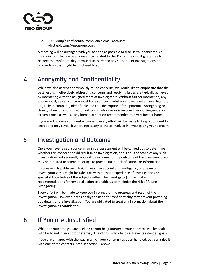

e. NSO Group's confidential compliance email account: whistleblowing@nsogroup.com.

A meeting will be arranged with you as soon as possible to discuss your concerns. You may bring a colleague to any meetings related to this Policy; they must guarantee to respect the confidentiality of your disclosure and any subsequent investigations or proceedings that might be disclosed to you.

## **4 Anonymity and Confidentiality**

While we also accept anonymously raised concerns, we would like to emphasize that the best results in effectively addressing concerns and resolving issues are typically achieved by interacting with the assigned team of investigators. Without further interaction, any anonymously raised concern must have sufficient substance to warrant an investigation, i.e., a clear, complete, identifiable and true description of the potential wrongdoing or threat, when it has occurred or will occur, who was or is involved, supporting evidence or circumstance, as well as any immediate action recommended to divert further harm.

If you want to raise confidential concern, every effort will be made to keep your identity secret and only reveal it where necessary to those involved in investigating your concern.

# **5 Investigation and Outcome**

Once you have raised a concern, an initial assessment will be carried out to determine whether this concern should result in an investigation, and if so - the scope of any such investigation. Subsequently, you will be informed of the outcome of the assessment. You may be required to attend meetings to provide further clarifications or information.

In cases which justify such, NSO Group may appoint an investigator, or a team of investigators; this might include staff with relevant experience of investigations or specialist knowledge of the subject matter. The investigator(s) may make recommendations for remedial action to enable us to minimize the risk of future wrongdoing.

Every effort will be made to keep you informed of the progress and result of the investigation. However, occasionally the need for confidentiality may prevent providing you details of the investigation. You are obligated to treat any information about the investigation as confidential.

# **6 If You are Unsatisfied**

While the outcome you are seeking cannot be guaranteed, your concerns will be dealt with fairly and in an appropriate way. Use of this Policy helps achieve its intended goals.

If you are unhappy with the way in which your concern has been handled, you can raise it with one of the contacts listed in section 3 above.